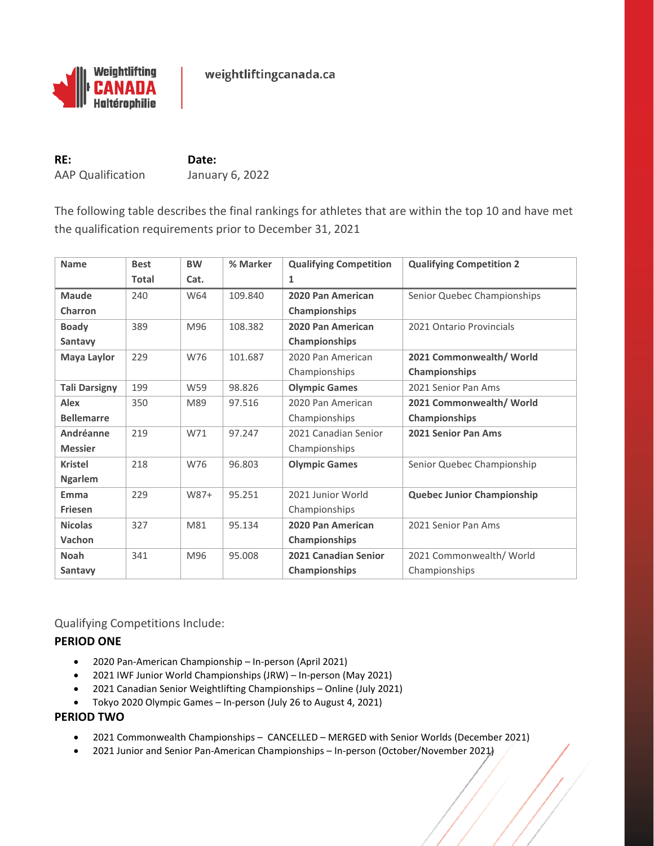

weightliftingcanada.ca

**RE: Date:** AAP Qualification January 6, 2022

The following table describes the final rankings for athletes that are within the top 10 and have met the qualification requirements prior to December 31, 2021

| <b>Name</b>          | <b>Best</b>  | <b>BW</b> | % Marker | <b>Qualifying Competition</b> | <b>Qualifying Competition 2</b>   |  |  |
|----------------------|--------------|-----------|----------|-------------------------------|-----------------------------------|--|--|
|                      | <b>Total</b> | Cat.      |          | 1                             |                                   |  |  |
| <b>Maude</b>         | 240          | W64       | 109.840  | 2020 Pan American             | Senior Quebec Championships       |  |  |
| Charron              |              |           |          | Championships                 |                                   |  |  |
| <b>Boady</b>         | 389          | M96       | 108.382  | 2020 Pan American             | 2021 Ontario Provincials          |  |  |
| Santavy              |              |           |          | Championships                 |                                   |  |  |
| Maya Laylor          | 229          | W76       | 101.687  | 2020 Pan American             | 2021 Commonwealth/ World          |  |  |
|                      |              |           |          | Championships                 | Championships                     |  |  |
| <b>Tali Darsigny</b> | 199          | W59       | 98.826   | <b>Olympic Games</b>          | 2021 Senior Pan Ams               |  |  |
| <b>Alex</b>          | 350          | M89       | 97.516   | 2020 Pan American             | 2021 Commonwealth/ World          |  |  |
| <b>Bellemarre</b>    |              |           |          | Championships                 | Championships                     |  |  |
| Andréanne            | 219          | W71       | 97.247   | 2021 Canadian Senior          | 2021 Senior Pan Ams               |  |  |
| <b>Messier</b>       |              |           |          | Championships                 |                                   |  |  |
| <b>Kristel</b>       | 218          | W76       | 96.803   | <b>Olympic Games</b>          | Senior Quebec Championship        |  |  |
| <b>Ngarlem</b>       |              |           |          |                               |                                   |  |  |
| Emma                 | 229          | W87+      | 95.251   | 2021 Junior World             | <b>Quebec Junior Championship</b> |  |  |
| <b>Friesen</b>       |              |           |          | Championships                 |                                   |  |  |
| <b>Nicolas</b>       | 327          | M81       | 95.134   | 2020 Pan American             | 2021 Senior Pan Ams               |  |  |
| Vachon               |              |           |          | Championships                 |                                   |  |  |
| <b>Noah</b>          | 341          | M96       | 95.008   | 2021 Canadian Senior          | 2021 Commonwealth/ World          |  |  |
| Santavy              |              |           |          | Championships                 | Championships                     |  |  |

Qualifying Competitions Include:

## **PERIOD ONE**

- 2020 Pan-American Championship In-person (April 2021)
- 2021 IWF Junior World Championships (JRW) In-person (May 2021)
- 2021 Canadian Senior Weightlifting Championships Online (July 2021)
- Tokyo 2020 Olympic Games In-person (July 26 to August 4, 2021)

## **PERIOD TWO**

- 2021 Commonwealth Championships CANCELLED MERGED with Senior Worlds (December 2021)
- 2021 Junior and Senior Pan-American Championships In-person (October/November 2021)